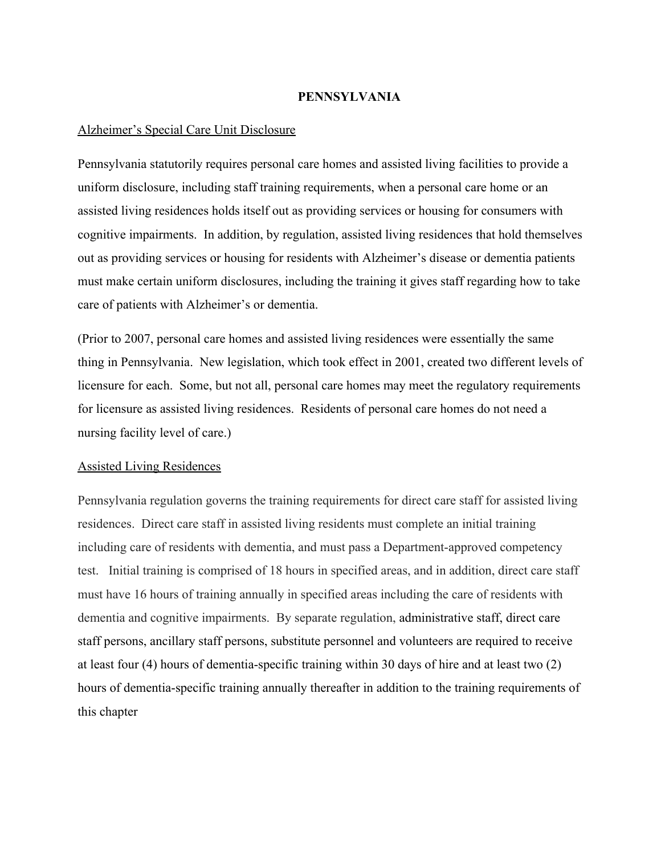# PENNSYLVANIA

### Alzheimer's Special Care Unit Disclosure

Pennsylvania statutorily requires personal care homes and assisted living facilities to provide a uniform disclosure, including staff training requirements, when a personal care home or an assisted living residences holds itself out as providing services or housing for consumers with cognitive impairments. In addition, by regulation, assisted living residences that hold themselves out as providing services or housing for residents with Alzheimer's disease or dementia patients must make certain uniform disclosures, including the training it gives staff regarding how to take care of patients with Alzheimer's or dementia.

(Prior to 2007, personal care homes and assisted living residences were essentially the same thing in Pennsylvania. New legislation, which took effect in 2001, created two different levels of licensure for each. Some, but not all, personal care homes may meet the regulatory requirements for licensure as assisted living residences. Residents of personal care homes do not need a nursing facility level of care.)

# Assisted Living Residences

Pennsylvania regulation governs the training requirements for direct care staff for assisted living residences. Direct care staff in assisted living residents must complete an initial training including care of residents with dementia, and must pass a Department-approved competency test. Initial training is comprised of 18 hours in specified areas, and in addition, direct care staff must have 16 hours of training annually in specified areas including the care of residents with dementia and cognitive impairments. By separate regulation, administrative staff, direct care staff persons, ancillary staff persons, substitute personnel and volunteers are required to receive at least four  $(4)$  hours of dementia-specific training within 30 days of hire and at least two  $(2)$ hours of dementia-specific training annually thereafter in addition to the training requirements of this chapter